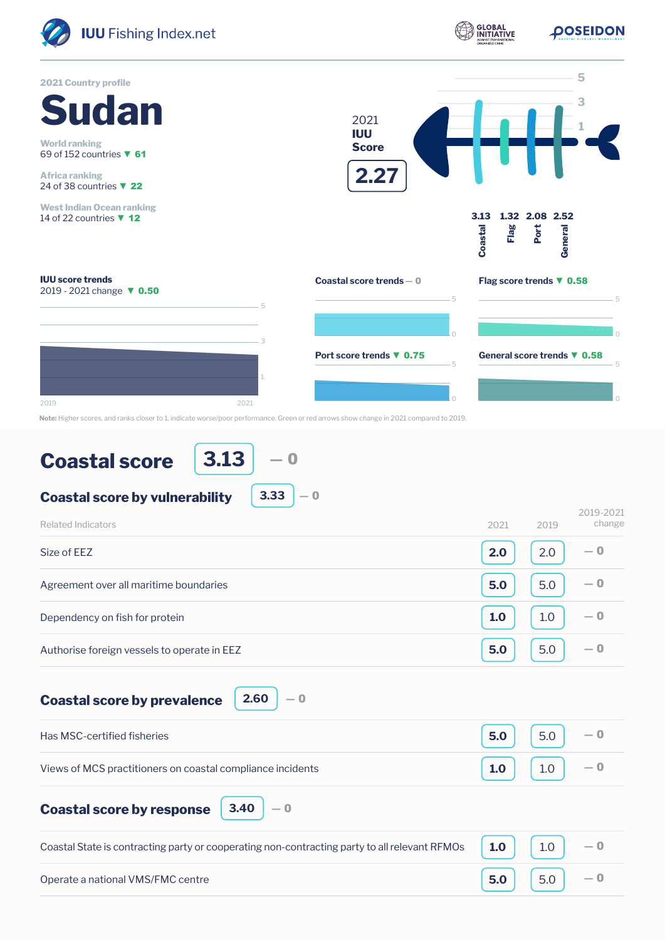

**Note:** Higher scores, and ranks closer to 1, indicate worse/poor performance. Green or red arrows show change in 2021 compared to 2019.

## **Coastal score**

**3.13** ― 0

**3.33**

 $-0$ 

**Coastal score by vulnerability**

| <b>Related Indicators</b>                   | 2021<br>2019 | 2019-2021<br>change |
|---------------------------------------------|--------------|---------------------|
| Size of EEZ                                 | 2.0<br>2.0   | $-0$                |
| Agreement over all maritime boundaries      | 5.0<br>5.0   | $-0$                |
| Dependency on fish for protein              | 1.0<br>1.0   | $-0$                |
| Authorise foreign vessels to operate in EEZ | 5.0<br>5.0   | $-0$                |

**Coastal score by prevalence**

**2.60** ― 0

| Has MSC-certified fisheries                                | 5.0 | 5.0                                     |  |
|------------------------------------------------------------|-----|-----------------------------------------|--|
| Views of MCS practitioners on coastal compliance incidents | 1.0 | $\begin{vmatrix} 1.0 \end{vmatrix}$ - 0 |  |
|                                                            |     |                                         |  |

**Coastal score by response 3.40**

| nonse | 3.40 |  |
|-------|------|--|
|       |      |  |

| Coastal State is contracting party or cooperating non-contracting party to all relevant RFMOs $\vert$ 1.0 $\vert$ 1.0 $\vert$ |                                 |  |
|-------------------------------------------------------------------------------------------------------------------------------|---------------------------------|--|
| Operate a national VMS/FMC centre                                                                                             | $\vert$ 5.0 $\vert$ 5.0 $\vert$ |  |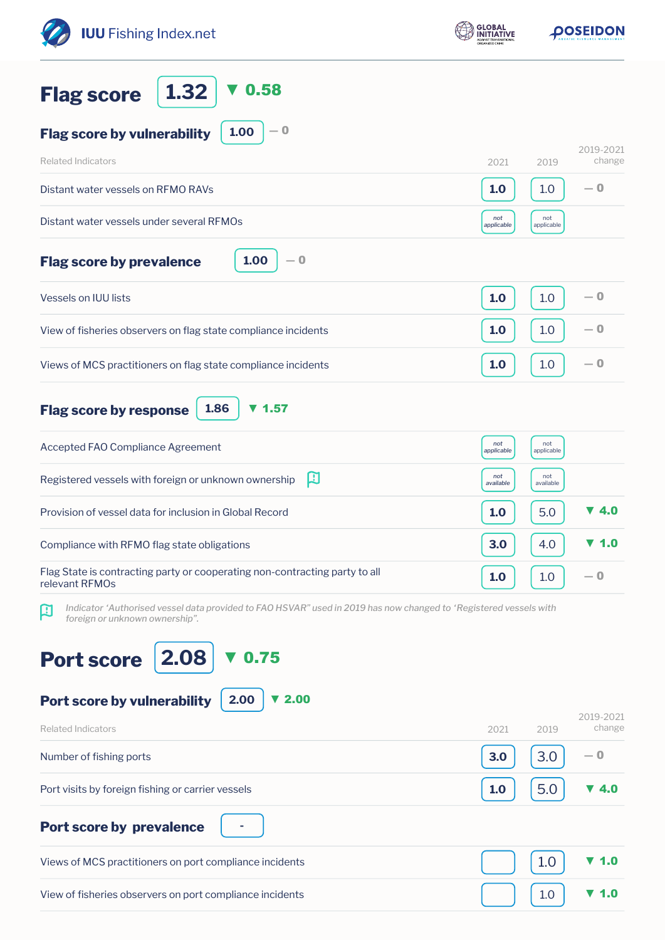| <b>IUU</b> Fishing Index.net                                                                                                                                        | <b>GLOBAL</b>     | <b>DOSEIDON</b>   |                          |
|---------------------------------------------------------------------------------------------------------------------------------------------------------------------|-------------------|-------------------|--------------------------|
| 0.58<br>1.32<br><b>Flag score</b>                                                                                                                                   |                   |                   |                          |
| $-0$<br>1.00<br><b>Flag score by vulnerability</b>                                                                                                                  |                   |                   | 2019-2021                |
| <b>Related Indicators</b>                                                                                                                                           | 2021              | 2019              | change                   |
| Distant water vessels on RFMO RAVs                                                                                                                                  | 1.0               | 1.0               | $-0$                     |
| Distant water vessels under several RFMOs                                                                                                                           | not<br>applicable | not<br>applicable |                          |
| 1.00<br>$-0$<br><b>Flag score by prevalence</b>                                                                                                                     |                   |                   |                          |
| <b>Vessels on IUU lists</b>                                                                                                                                         | 1.0               | 1.0               | $-0$                     |
| View of fisheries observers on flag state compliance incidents                                                                                                      | 1.0               | 1.0               | $-0$                     |
| Views of MCS practitioners on flag state compliance incidents                                                                                                       | 1.0               | 1.0               | $-0$                     |
| 1.57<br>1.86<br><b>Flag score by response</b><br>v                                                                                                                  |                   |                   |                          |
| Accepted FAO Compliance Agreement                                                                                                                                   | not<br>applicable | not<br>applicable |                          |
| 凹<br>Registered vessels with foreign or unknown ownership                                                                                                           | not<br>available  | not<br>available  |                          |
| Provision of vessel data for inclusion in Global Record                                                                                                             | 1.0               | 5.0               | ▼ 4.0                    |
| Compliance with RFMO flag state obligations                                                                                                                         | 3.0               | 4.0               | $\blacktriangledown$ 1.0 |
| Flag State is contracting party or cooperating non-contracting party to all<br>relevant RFMOs                                                                       | 1.0               | 1.0               | — 0                      |
| Indicator 'Authorised vessel data provided to FAO HSVAR" used in 2019 has now changed to 'Registered vessels with<br>$\mathbf{R}$<br>foreign or unknown ownership". |                   |                   |                          |
| 2.08<br>0.75<br><b>Port score</b>                                                                                                                                   |                   |                   |                          |
| 2.00<br>$\blacktriangledown$ 2.00<br>Port score by vulnerability                                                                                                    |                   |                   | 2019-2021                |
| <b>Related Indicators</b>                                                                                                                                           | 2021              | 2019              | change                   |
| Number of fishing ports                                                                                                                                             | 3.0               | 3.0               | — 0                      |
| Port visits by foreign fishing or carrier vessels                                                                                                                   | 1.0               | 5.0               | <b>40</b>                |
| <b>Port score by prevalence</b>                                                                                                                                     |                   |                   |                          |
| Views of MCS practitioners on port compliance incidents                                                                                                             |                   | 1.0               | $\mathbf{1.0}$           |
| View of fisheries observers on port compliance incidents                                                                                                            |                   | 1.0               | <b>V</b> 1.0             |